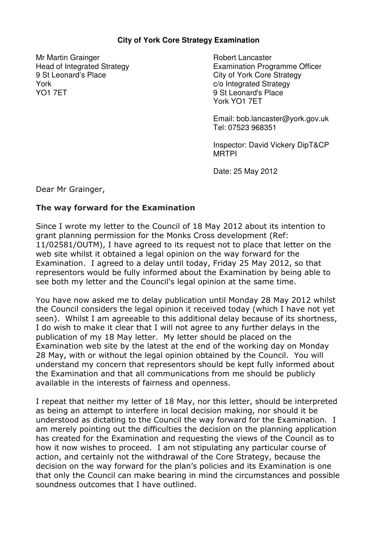## **City of York Core Strategy Examination**

Mr Martin Grainger Head of Integrated Strategy 9 St Leonard's Place York YO1 7ET

Robert Lancaster Examination Programme Officer City of York Core Strategy c/o Integrated Strategy 9 St Leonard's Place York YO1 7ET

Email: bob.lancaster@york.gov.uk Tel: 07523 968351

Inspector: David Vickery DipT&CP MRTPI

Date: 25 May 2012

Dear Mr Grainger,

## The way forward for the Examination

Since I wrote my letter to the Council of 18 May 2012 about its intention to grant planning permission for the Monks Cross development (Ref: 11/02581/OUTM), I have agreed to its request not to place that letter on the web site whilst it obtained a legal opinion on the way forward for the Examination. I agreed to a delay until today, Friday 25 May 2012, so that representors would be fully informed about the Examination by being able to see both my letter and the Council's legal opinion at the same time.

You have now asked me to delay publication until Monday 28 May 2012 whilst the Council considers the legal opinion it received today (which I have not yet seen). Whilst I am agreeable to this additional delay because of its shortness, I do wish to make it clear that I will not agree to any further delays in the publication of my 18 May letter. My letter should be placed on the Examination web site by the latest at the end of the working day on Monday 28 May, with or without the legal opinion obtained by the Council. You will understand my concern that representors should be kept fully informed about the Examination and that all communications from me should be publicly available in the interests of fairness and openness.

I repeat that neither my letter of 18 May, nor this letter, should be interpreted as being an attempt to interfere in local decision making, nor should it be understood as dictating to the Council the way forward for the Examination. I am merely pointing out the difficulties the decision on the planning application has created for the Examination and requesting the views of the Council as to how it now wishes to proceed. I am not stipulating any particular course of action, and certainly not the withdrawal of the Core Strategy, because the decision on the way forward for the plan's policies and its Examination is one that only the Council can make bearing in mind the circumstances and possible soundness outcomes that I have outlined.